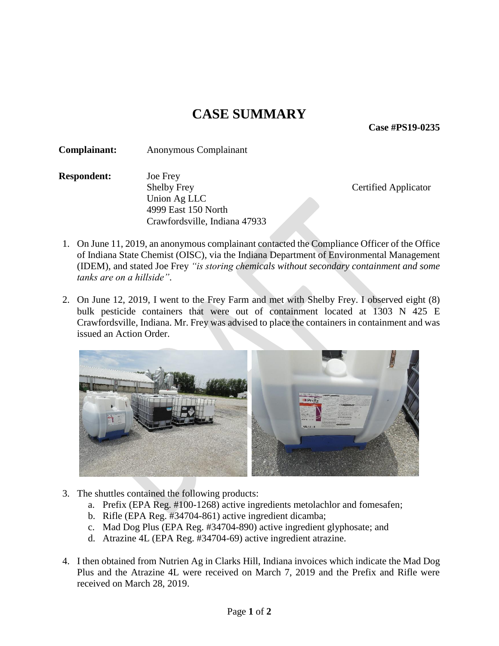## **CASE SUMMARY**

**Case #PS19-0235**

**Complainant:** Anonymous Complainant

**Respondent:** Joe Frey Shelby Frey Certified Applicator Union Ag LLC 4999 East 150 North Crawfordsville, Indiana 47933

- 1. On June 11, 2019, an anonymous complainant contacted the Compliance Officer of the Office of Indiana State Chemist (OISC), via the Indiana Department of Environmental Management (IDEM), and stated Joe Frey *"is storing chemicals without secondary containment and some tanks are on a hillside"*.
- 2. On June 12, 2019, I went to the Frey Farm and met with Shelby Frey. I observed eight (8) bulk pesticide containers that were out of containment located at 1303 N 425 E Crawfordsville, Indiana. Mr. Frey was advised to place the containers in containment and was issued an Action Order.



- 3. The shuttles contained the following products:
	- a. Prefix (EPA Reg. #100-1268) active ingredients metolachlor and fomesafen;
	- b. Rifle (EPA Reg. #34704-861) active ingredient dicamba;
	- c. Mad Dog Plus (EPA Reg. #34704-890) active ingredient glyphosate; and
	- d. Atrazine 4L (EPA Reg. #34704-69) active ingredient atrazine.
- 4. I then obtained from Nutrien Ag in Clarks Hill, Indiana invoices which indicate the Mad Dog Plus and the Atrazine 4L were received on March 7, 2019 and the Prefix and Rifle were received on March 28, 2019.